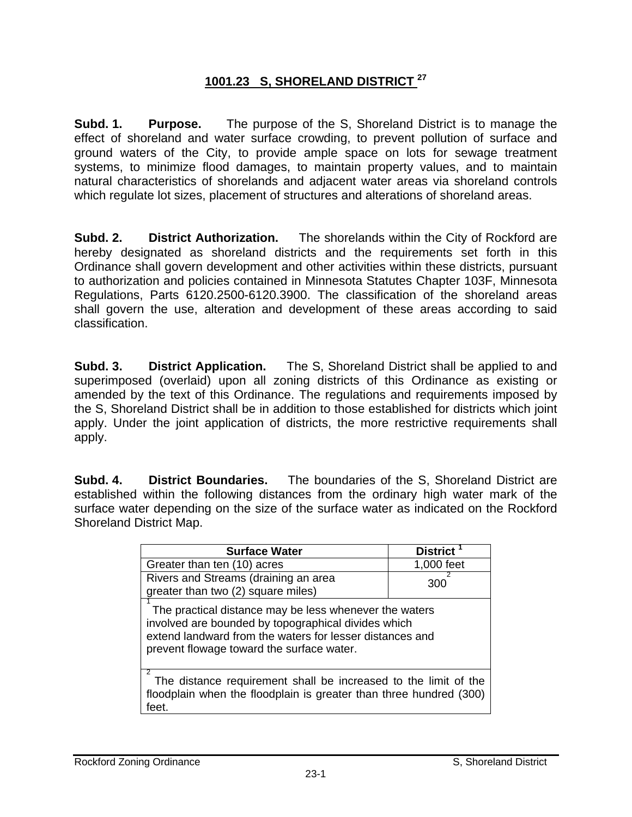## **1001.23 S, SHORELAND DISTRICT 27**

**Subd. 1. Purpose.** The purpose of the S, Shoreland District is to manage the effect of shoreland and water surface crowding, to prevent pollution of surface and ground waters of the City, to provide ample space on lots for sewage treatment systems, to minimize flood damages, to maintain property values, and to maintain natural characteristics of shorelands and adjacent water areas via shoreland controls which regulate lot sizes, placement of structures and alterations of shoreland areas.

**Subd. 2. District Authorization.** The shorelands within the City of Rockford are hereby designated as shoreland districts and the requirements set forth in this Ordinance shall govern development and other activities within these districts, pursuant to authorization and policies contained in Minnesota Statutes Chapter 103F, Minnesota Regulations, Parts 6120.2500-6120.3900. The classification of the shoreland areas shall govern the use, alteration and development of these areas according to said classification.

**Subd. 3. District Application.** The S, Shoreland District shall be applied to and superimposed (overlaid) upon all zoning districts of this Ordinance as existing or amended by the text of this Ordinance. The regulations and requirements imposed by the S, Shoreland District shall be in addition to those established for districts which joint apply. Under the joint application of districts, the more restrictive requirements shall apply.

**Subd. 4. District Boundaries.** The boundaries of the S, Shoreland District are established within the following distances from the ordinary high water mark of the surface water depending on the size of the surface water as indicated on the Rockford Shoreland District Map.

| <b>Surface Water</b>                                                                                                                                                                                                   | District <sup>1</sup> |  |  |
|------------------------------------------------------------------------------------------------------------------------------------------------------------------------------------------------------------------------|-----------------------|--|--|
| Greater than ten (10) acres                                                                                                                                                                                            | 1,000 feet            |  |  |
| Rivers and Streams (draining an area<br>greater than two (2) square miles)                                                                                                                                             | 300                   |  |  |
| The practical distance may be less whenever the waters<br>involved are bounded by topographical divides which<br>extend landward from the waters for lesser distances and<br>prevent flowage toward the surface water. |                       |  |  |
| っ<br>The distance requirement shall be increased to the limit of the<br>floodplain when the floodplain is greater than three hundred (300)<br>feet.                                                                    |                       |  |  |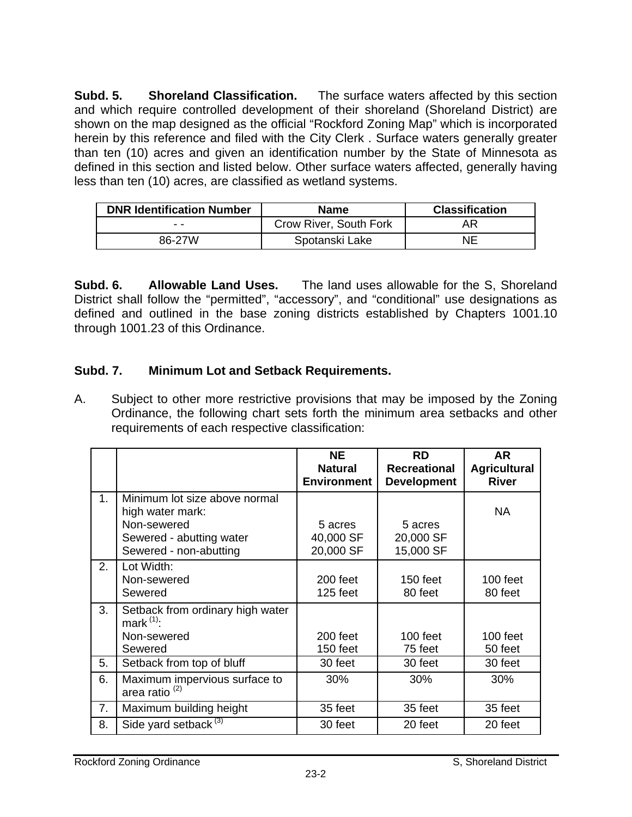**Subd. 5. Shoreland Classification.** The surface waters affected by this section and which require controlled development of their shoreland (Shoreland District) are shown on the map designed as the official "Rockford Zoning Map" which is incorporated herein by this reference and filed with the City Clerk . Surface waters generally greater than ten (10) acres and given an identification number by the State of Minnesota as defined in this section and listed below. Other surface waters affected, generally having less than ten (10) acres, are classified as wetland systems.

| <b>DNR Identification Number</b> | <b>Name</b>            | <b>Classification</b> |
|----------------------------------|------------------------|-----------------------|
| - -                              | Crow River, South Fork | ΑR                    |
| 86-27W                           | Spotanski Lake         | NΕ                    |

**Subd. 6. Allowable Land Uses.** The land uses allowable for the S, Shoreland District shall follow the "permitted", "accessory", and "conditional" use designations as defined and outlined in the base zoning districts established by Chapters 1001.10 through 1001.23 of this Ordinance.

## **Subd. 7. Minimum Lot and Setback Requirements.**

A. Subject to other more restrictive provisions that may be imposed by the Zoning Ordinance, the following chart sets forth the minimum area setbacks and other requirements of each respective classification:

|    |                                                                                                                        | <b>NE</b><br><b>Natural</b><br><b>Environment</b> | <b>RD</b><br><b>Recreational</b><br><b>Development</b> | AR<br><b>Agricultural</b><br><b>River</b> |
|----|------------------------------------------------------------------------------------------------------------------------|---------------------------------------------------|--------------------------------------------------------|-------------------------------------------|
| 1. | Minimum lot size above normal<br>high water mark:<br>Non-sewered<br>Sewered - abutting water<br>Sewered - non-abutting | 5 acres<br>40,000 SF<br>20,000 SF                 | 5 acres<br>20,000 SF<br>15,000 SF                      | <b>NA</b>                                 |
| 2. | Lot Width:<br>Non-sewered<br>Sewered                                                                                   | 200 feet<br>125 feet                              | $150$ feet<br>80 feet                                  | $100$ feet<br>80 feet                     |
| 3. | Setback from ordinary high water<br>mark $(1)$ :<br>Non-sewered<br>Sewered                                             | 200 feet<br>150 feet                              | $100$ feet<br>75 feet                                  | $100$ feet<br>50 feet                     |
| 5. | Setback from top of bluff                                                                                              | 30 feet                                           | 30 feet                                                | 30 feet                                   |
| 6. | Maximum impervious surface to<br>area ratio <sup>(2)</sup>                                                             | 30%                                               | 30%                                                    | 30%                                       |
| 7. | Maximum building height                                                                                                | 35 feet                                           | 35 feet                                                | 35 feet                                   |
| 8. | Side yard setback <sup>(3)</sup>                                                                                       | 30 feet                                           | 20 feet                                                | 20 feet                                   |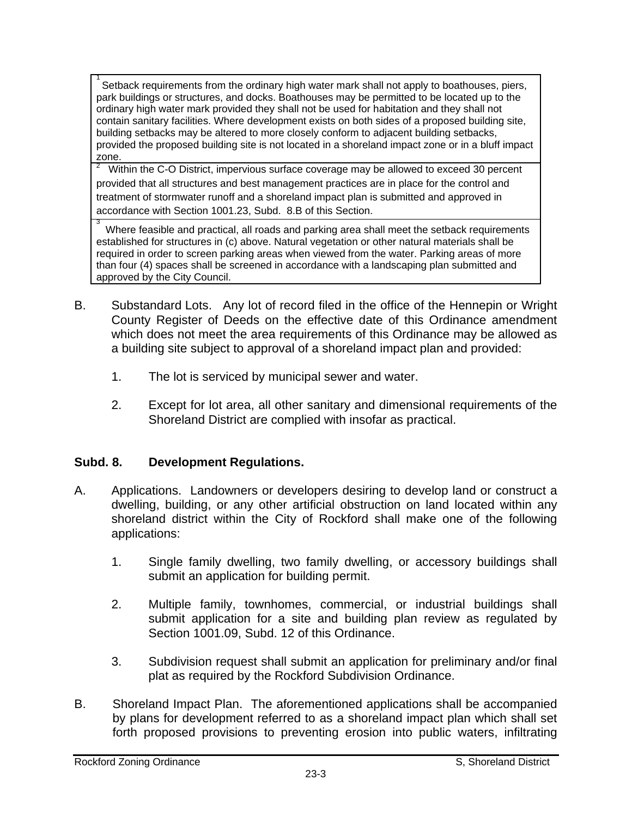1 Setback requirements from the ordinary high water mark shall not apply to boathouses, piers, park buildings or structures, and docks. Boathouses may be permitted to be located up to the ordinary high water mark provided they shall not be used for habitation and they shall not contain sanitary facilities. Where development exists on both sides of a proposed building site, building setbacks may be altered to more closely conform to adjacent building setbacks, provided the proposed building site is not located in a shoreland impact zone or in a bluff impact zone.

2 Within the C-O District, impervious surface coverage may be allowed to exceed 30 percent provided that all structures and best management practices are in place for the control and treatment of stormwater runoff and a shoreland impact plan is submitted and approved in accordance with Section 1001.23, Subd. 8.B of this Section.

3 Where feasible and practical, all roads and parking area shall meet the setback requirements established for structures in (c) above. Natural vegetation or other natural materials shall be required in order to screen parking areas when viewed from the water. Parking areas of more than four (4) spaces shall be screened in accordance with a landscaping plan submitted and approved by the City Council.

- B. Substandard Lots. Any lot of record filed in the office of the Hennepin or Wright County Register of Deeds on the effective date of this Ordinance amendment which does not meet the area requirements of this Ordinance may be allowed as a building site subject to approval of a shoreland impact plan and provided:
	- 1. The lot is serviced by municipal sewer and water.
	- 2. Except for lot area, all other sanitary and dimensional requirements of the Shoreland District are complied with insofar as practical.

## **Subd. 8. Development Regulations.**

- A. Applications. Landowners or developers desiring to develop land or construct a dwelling, building, or any other artificial obstruction on land located within any shoreland district within the City of Rockford shall make one of the following applications:
	- 1. Single family dwelling, two family dwelling, or accessory buildings shall submit an application for building permit.
	- 2. Multiple family, townhomes, commercial, or industrial buildings shall submit application for a site and building plan review as regulated by Section 1001.09, Subd. 12 of this Ordinance.
	- 3. Subdivision request shall submit an application for preliminary and/or final plat as required by the Rockford Subdivision Ordinance.
- B. Shoreland Impact Plan. The aforementioned applications shall be accompanied by plans for development referred to as a shoreland impact plan which shall set forth proposed provisions to preventing erosion into public waters, infiltrating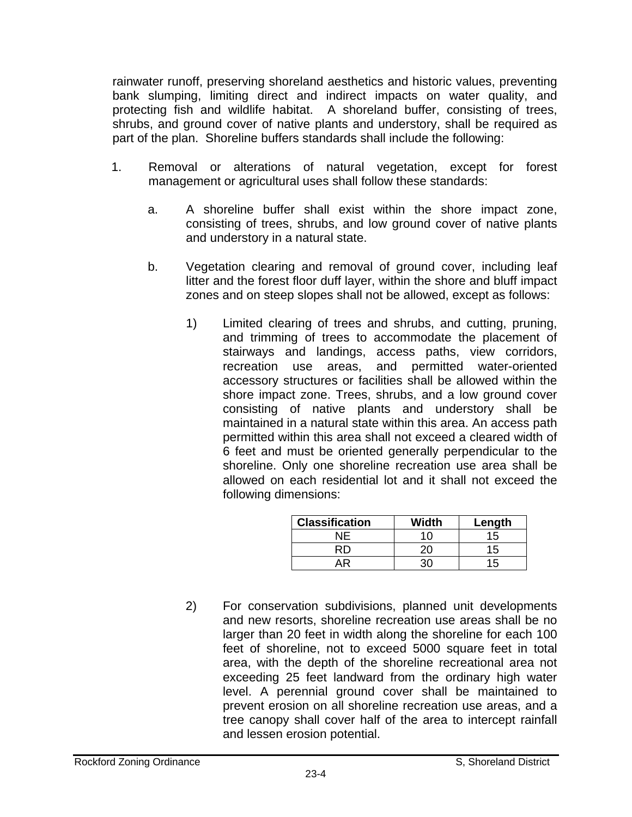rainwater runoff, preserving shoreland aesthetics and historic values, preventing bank slumping, limiting direct and indirect impacts on water quality, and protecting fish and wildlife habitat. A shoreland buffer, consisting of trees, shrubs, and ground cover of native plants and understory, shall be required as part of the plan. Shoreline buffers standards shall include the following:

- 1. Removal or alterations of natural vegetation, except for forest management or agricultural uses shall follow these standards:
	- a. A shoreline buffer shall exist within the shore impact zone, consisting of trees, shrubs, and low ground cover of native plants and understory in a natural state.
	- b. Vegetation clearing and removal of ground cover, including leaf litter and the forest floor duff layer, within the shore and bluff impact zones and on steep slopes shall not be allowed, except as follows:
		- 1) Limited clearing of trees and shrubs, and cutting, pruning, and trimming of trees to accommodate the placement of stairways and landings, access paths, view corridors, recreation use areas, and permitted water-oriented accessory structures or facilities shall be allowed within the shore impact zone. Trees, shrubs, and a low ground cover consisting of native plants and understory shall be maintained in a natural state within this area. An access path permitted within this area shall not exceed a cleared width of 6 feet and must be oriented generally perpendicular to the shoreline. Only one shoreline recreation use area shall be allowed on each residential lot and it shall not exceed the following dimensions:

| <b>Classification</b> | Width | Length |
|-----------------------|-------|--------|
| NΕ                    | 10    | 15     |
|                       |       | 15     |
|                       |       | 15     |

2) For conservation subdivisions, planned unit developments and new resorts, shoreline recreation use areas shall be no larger than 20 feet in width along the shoreline for each 100 feet of shoreline, not to exceed 5000 square feet in total area, with the depth of the shoreline recreational area not exceeding 25 feet landward from the ordinary high water level. A perennial ground cover shall be maintained to prevent erosion on all shoreline recreation use areas, and a tree canopy shall cover half of the area to intercept rainfall and lessen erosion potential.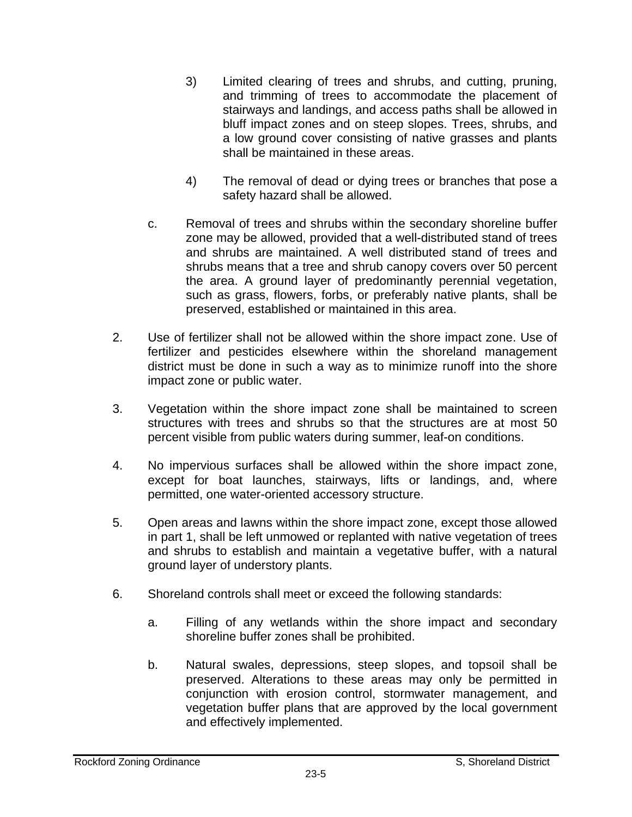- 3) Limited clearing of trees and shrubs, and cutting, pruning, and trimming of trees to accommodate the placement of stairways and landings, and access paths shall be allowed in bluff impact zones and on steep slopes. Trees, shrubs, and a low ground cover consisting of native grasses and plants shall be maintained in these areas.
- 4) The removal of dead or dying trees or branches that pose a safety hazard shall be allowed.
- c. Removal of trees and shrubs within the secondary shoreline buffer zone may be allowed, provided that a well-distributed stand of trees and shrubs are maintained. A well distributed stand of trees and shrubs means that a tree and shrub canopy covers over 50 percent the area. A ground layer of predominantly perennial vegetation, such as grass, flowers, forbs, or preferably native plants, shall be preserved, established or maintained in this area.
- 2. Use of fertilizer shall not be allowed within the shore impact zone. Use of fertilizer and pesticides elsewhere within the shoreland management district must be done in such a way as to minimize runoff into the shore impact zone or public water.
- 3. Vegetation within the shore impact zone shall be maintained to screen structures with trees and shrubs so that the structures are at most 50 percent visible from public waters during summer, leaf-on conditions.
- 4. No impervious surfaces shall be allowed within the shore impact zone, except for boat launches, stairways, lifts or landings, and, where permitted, one water-oriented accessory structure.
- 5. Open areas and lawns within the shore impact zone, except those allowed in part 1, shall be left unmowed or replanted with native vegetation of trees and shrubs to establish and maintain a vegetative buffer, with a natural ground layer of understory plants.
- 6. Shoreland controls shall meet or exceed the following standards:
	- a. Filling of any wetlands within the shore impact and secondary shoreline buffer zones shall be prohibited.
	- b. Natural swales, depressions, steep slopes, and topsoil shall be preserved. Alterations to these areas may only be permitted in conjunction with erosion control, stormwater management, and vegetation buffer plans that are approved by the local government and effectively implemented.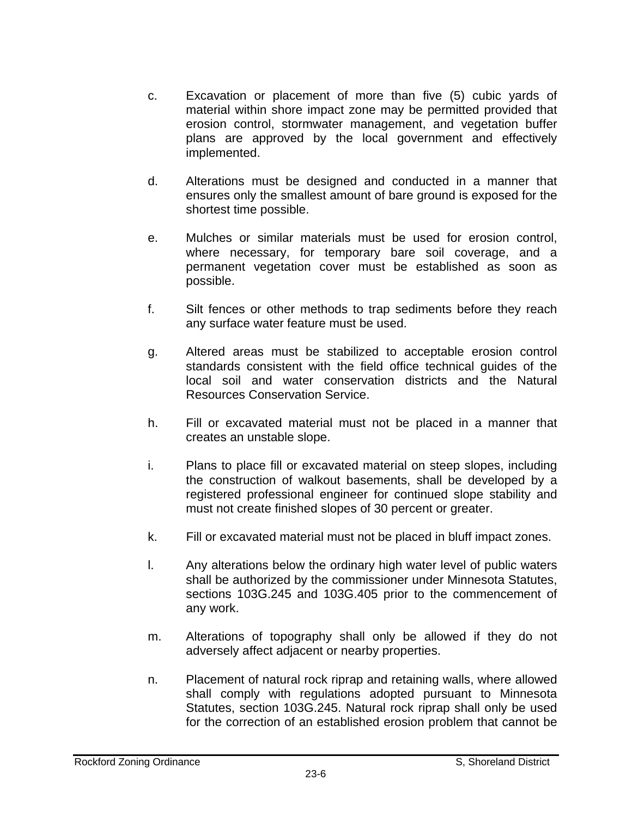- c. Excavation or placement of more than five (5) cubic yards of material within shore impact zone may be permitted provided that erosion control, stormwater management, and vegetation buffer plans are approved by the local government and effectively implemented.
- d. Alterations must be designed and conducted in a manner that ensures only the smallest amount of bare ground is exposed for the shortest time possible.
- e. Mulches or similar materials must be used for erosion control, where necessary, for temporary bare soil coverage, and a permanent vegetation cover must be established as soon as possible.
- f. Silt fences or other methods to trap sediments before they reach any surface water feature must be used.
- g. Altered areas must be stabilized to acceptable erosion control standards consistent with the field office technical guides of the local soil and water conservation districts and the Natural Resources Conservation Service.
- h. Fill or excavated material must not be placed in a manner that creates an unstable slope.
- i. Plans to place fill or excavated material on steep slopes, including the construction of walkout basements, shall be developed by a registered professional engineer for continued slope stability and must not create finished slopes of 30 percent or greater.
- k. Fill or excavated material must not be placed in bluff impact zones.
- l. Any alterations below the ordinary high water level of public waters shall be authorized by the commissioner under Minnesota Statutes, sections 103G.245 and 103G.405 prior to the commencement of any work.
- m. Alterations of topography shall only be allowed if they do not adversely affect adjacent or nearby properties.
- n. Placement of natural rock riprap and retaining walls, where allowed shall comply with regulations adopted pursuant to Minnesota Statutes, section 103G.245. Natural rock riprap shall only be used for the correction of an established erosion problem that cannot be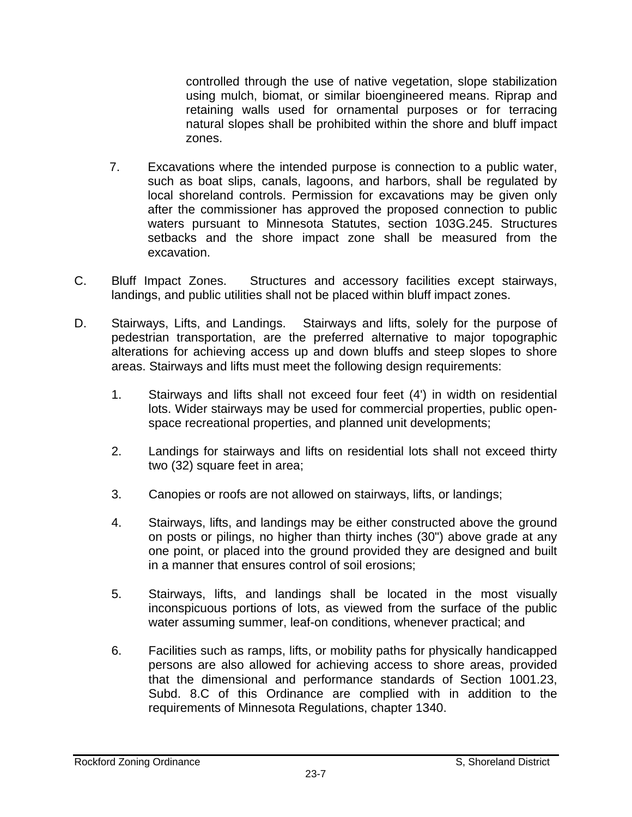controlled through the use of native vegetation, slope stabilization using mulch, biomat, or similar bioengineered means. Riprap and retaining walls used for ornamental purposes or for terracing natural slopes shall be prohibited within the shore and bluff impact zones.

- 7. Excavations where the intended purpose is connection to a public water, such as boat slips, canals, lagoons, and harbors, shall be regulated by local shoreland controls. Permission for excavations may be given only after the commissioner has approved the proposed connection to public waters pursuant to Minnesota Statutes, section 103G.245. Structures setbacks and the shore impact zone shall be measured from the excavation.
- C. Bluff Impact Zones. Structures and accessory facilities except stairways, landings, and public utilities shall not be placed within bluff impact zones.
- D. Stairways, Lifts, and Landings. Stairways and lifts, solely for the purpose of pedestrian transportation, are the preferred alternative to major topographic alterations for achieving access up and down bluffs and steep slopes to shore areas. Stairways and lifts must meet the following design requirements:
	- 1. Stairways and lifts shall not exceed four feet (4') in width on residential lots. Wider stairways may be used for commercial properties, public openspace recreational properties, and planned unit developments;
	- 2. Landings for stairways and lifts on residential lots shall not exceed thirty two (32) square feet in area;
	- 3. Canopies or roofs are not allowed on stairways, lifts, or landings;
	- 4. Stairways, lifts, and landings may be either constructed above the ground on posts or pilings, no higher than thirty inches (30") above grade at any one point, or placed into the ground provided they are designed and built in a manner that ensures control of soil erosions;
	- 5. Stairways, lifts, and landings shall be located in the most visually inconspicuous portions of lots, as viewed from the surface of the public water assuming summer, leaf-on conditions, whenever practical; and
	- 6. Facilities such as ramps, lifts, or mobility paths for physically handicapped persons are also allowed for achieving access to shore areas, provided that the dimensional and performance standards of Section 1001.23, Subd. 8.C of this Ordinance are complied with in addition to the requirements of Minnesota Regulations, chapter 1340.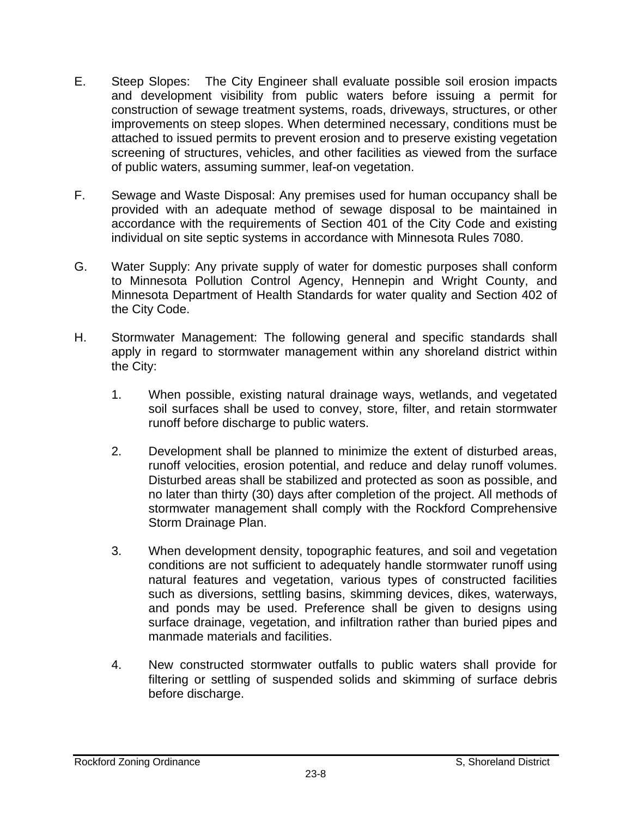- E. Steep Slopes: The City Engineer shall evaluate possible soil erosion impacts and development visibility from public waters before issuing a permit for construction of sewage treatment systems, roads, driveways, structures, or other improvements on steep slopes. When determined necessary, conditions must be attached to issued permits to prevent erosion and to preserve existing vegetation screening of structures, vehicles, and other facilities as viewed from the surface of public waters, assuming summer, leaf-on vegetation.
- F. Sewage and Waste Disposal: Any premises used for human occupancy shall be provided with an adequate method of sewage disposal to be maintained in accordance with the requirements of Section 401 of the City Code and existing individual on site septic systems in accordance with Minnesota Rules 7080.
- G. Water Supply: Any private supply of water for domestic purposes shall conform to Minnesota Pollution Control Agency, Hennepin and Wright County, and Minnesota Department of Health Standards for water quality and Section 402 of the City Code.
- H. Stormwater Management: The following general and specific standards shall apply in regard to stormwater management within any shoreland district within the City:
	- 1. When possible, existing natural drainage ways, wetlands, and vegetated soil surfaces shall be used to convey, store, filter, and retain stormwater runoff before discharge to public waters.
	- 2. Development shall be planned to minimize the extent of disturbed areas, runoff velocities, erosion potential, and reduce and delay runoff volumes. Disturbed areas shall be stabilized and protected as soon as possible, and no later than thirty (30) days after completion of the project. All methods of stormwater management shall comply with the Rockford Comprehensive Storm Drainage Plan.
	- 3. When development density, topographic features, and soil and vegetation conditions are not sufficient to adequately handle stormwater runoff using natural features and vegetation, various types of constructed facilities such as diversions, settling basins, skimming devices, dikes, waterways, and ponds may be used. Preference shall be given to designs using surface drainage, vegetation, and infiltration rather than buried pipes and manmade materials and facilities.
	- 4. New constructed stormwater outfalls to public waters shall provide for filtering or settling of suspended solids and skimming of surface debris before discharge.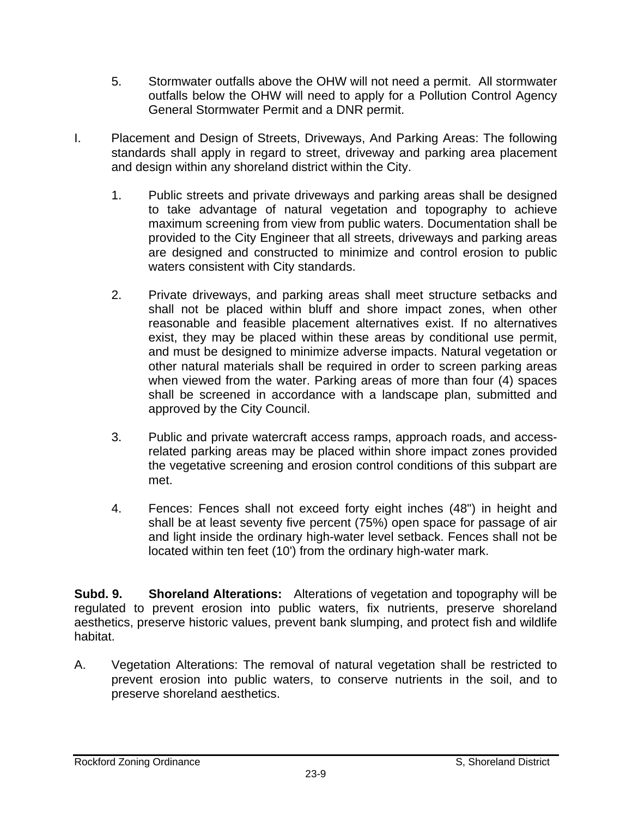- 5. Stormwater outfalls above the OHW will not need a permit. All stormwater outfalls below the OHW will need to apply for a Pollution Control Agency General Stormwater Permit and a DNR permit.
- I. Placement and Design of Streets, Driveways, And Parking Areas: The following standards shall apply in regard to street, driveway and parking area placement and design within any shoreland district within the City.
	- 1. Public streets and private driveways and parking areas shall be designed to take advantage of natural vegetation and topography to achieve maximum screening from view from public waters. Documentation shall be provided to the City Engineer that all streets, driveways and parking areas are designed and constructed to minimize and control erosion to public waters consistent with City standards.
	- 2. Private driveways, and parking areas shall meet structure setbacks and shall not be placed within bluff and shore impact zones, when other reasonable and feasible placement alternatives exist. If no alternatives exist, they may be placed within these areas by conditional use permit, and must be designed to minimize adverse impacts. Natural vegetation or other natural materials shall be required in order to screen parking areas when viewed from the water. Parking areas of more than four (4) spaces shall be screened in accordance with a landscape plan, submitted and approved by the City Council.
	- 3. Public and private watercraft access ramps, approach roads, and accessrelated parking areas may be placed within shore impact zones provided the vegetative screening and erosion control conditions of this subpart are met.
	- 4. Fences: Fences shall not exceed forty eight inches (48") in height and shall be at least seventy five percent (75%) open space for passage of air and light inside the ordinary high-water level setback. Fences shall not be located within ten feet (10') from the ordinary high-water mark.

**Subd. 9. Shoreland Alterations:** Alterations of vegetation and topography will be regulated to prevent erosion into public waters, fix nutrients, preserve shoreland aesthetics, preserve historic values, prevent bank slumping, and protect fish and wildlife habitat.

A. Vegetation Alterations: The removal of natural vegetation shall be restricted to prevent erosion into public waters, to conserve nutrients in the soil, and to preserve shoreland aesthetics.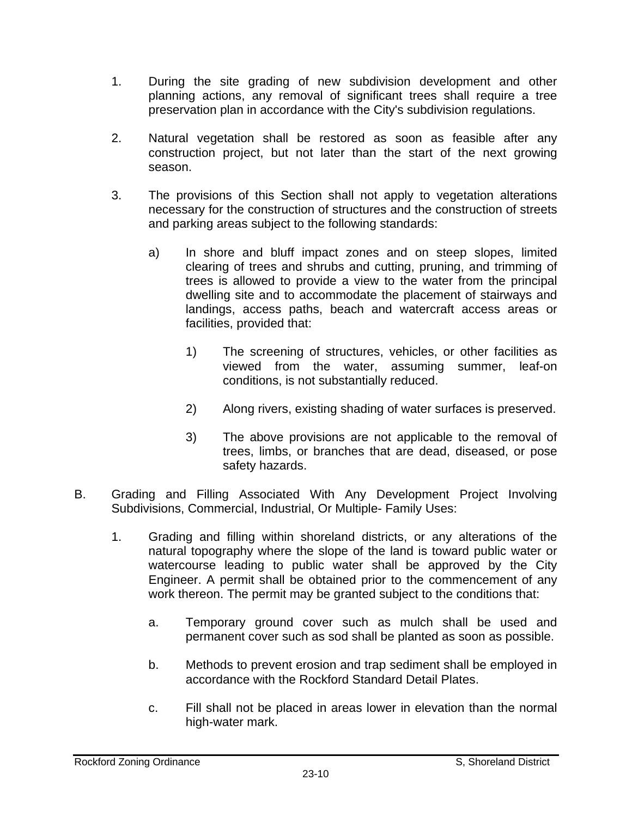- 1. During the site grading of new subdivision development and other planning actions, any removal of significant trees shall require a tree preservation plan in accordance with the City's subdivision regulations.
- 2. Natural vegetation shall be restored as soon as feasible after any construction project, but not later than the start of the next growing season.
- 3. The provisions of this Section shall not apply to vegetation alterations necessary for the construction of structures and the construction of streets and parking areas subject to the following standards:
	- a) In shore and bluff impact zones and on steep slopes, limited clearing of trees and shrubs and cutting, pruning, and trimming of trees is allowed to provide a view to the water from the principal dwelling site and to accommodate the placement of stairways and landings, access paths, beach and watercraft access areas or facilities, provided that:
		- 1) The screening of structures, vehicles, or other facilities as viewed from the water, assuming summer, leaf-on conditions, is not substantially reduced.
		- 2) Along rivers, existing shading of water surfaces is preserved.
		- 3) The above provisions are not applicable to the removal of trees, limbs, or branches that are dead, diseased, or pose safety hazards.
- B. Grading and Filling Associated With Any Development Project Involving Subdivisions, Commercial, Industrial, Or Multiple- Family Uses:
	- 1. Grading and filling within shoreland districts, or any alterations of the natural topography where the slope of the land is toward public water or watercourse leading to public water shall be approved by the City Engineer. A permit shall be obtained prior to the commencement of any work thereon. The permit may be granted subject to the conditions that:
		- a. Temporary ground cover such as mulch shall be used and permanent cover such as sod shall be planted as soon as possible.
		- b. Methods to prevent erosion and trap sediment shall be employed in accordance with the Rockford Standard Detail Plates.
		- c. Fill shall not be placed in areas lower in elevation than the normal high-water mark.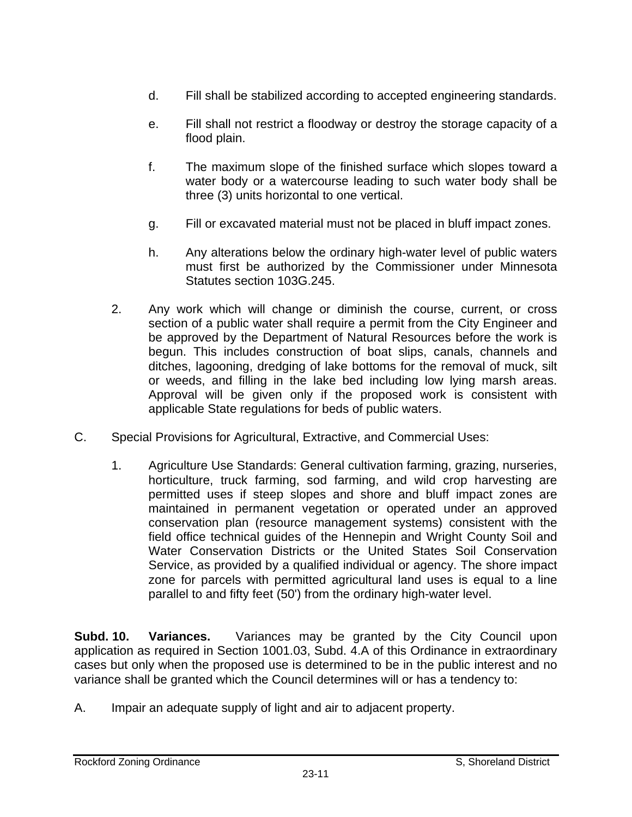- d. Fill shall be stabilized according to accepted engineering standards.
- e. Fill shall not restrict a floodway or destroy the storage capacity of a flood plain.
- f. The maximum slope of the finished surface which slopes toward a water body or a watercourse leading to such water body shall be three (3) units horizontal to one vertical.
- g. Fill or excavated material must not be placed in bluff impact zones.
- h. Any alterations below the ordinary high-water level of public waters must first be authorized by the Commissioner under Minnesota Statutes section 103G.245.
- 2. Any work which will change or diminish the course, current, or cross section of a public water shall require a permit from the City Engineer and be approved by the Department of Natural Resources before the work is begun. This includes construction of boat slips, canals, channels and ditches, lagooning, dredging of lake bottoms for the removal of muck, silt or weeds, and filling in the lake bed including low lying marsh areas. Approval will be given only if the proposed work is consistent with applicable State regulations for beds of public waters.
- C. Special Provisions for Agricultural, Extractive, and Commercial Uses:
	- 1. Agriculture Use Standards: General cultivation farming, grazing, nurseries, horticulture, truck farming, sod farming, and wild crop harvesting are permitted uses if steep slopes and shore and bluff impact zones are maintained in permanent vegetation or operated under an approved conservation plan (resource management systems) consistent with the field office technical guides of the Hennepin and Wright County Soil and Water Conservation Districts or the United States Soil Conservation Service, as provided by a qualified individual or agency. The shore impact zone for parcels with permitted agricultural land uses is equal to a line parallel to and fifty feet (50') from the ordinary high-water level.

**Subd. 10. Variances.** Variances may be granted by the City Council upon application as required in Section 1001.03, Subd. 4.A of this Ordinance in extraordinary cases but only when the proposed use is determined to be in the public interest and no variance shall be granted which the Council determines will or has a tendency to:

A. Impair an adequate supply of light and air to adjacent property.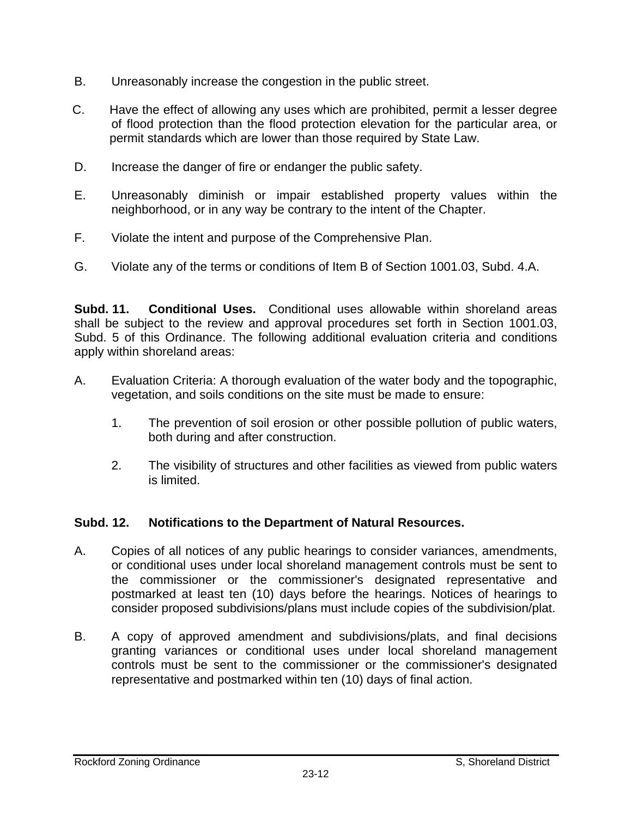- B. Unreasonably increase the congestion in the public street.
- C. Have the effect of allowing any uses which are prohibited, permit a lesser degree of flood protection than the flood protection elevation for the particular area, or permit standards which are lower than those required by State Law.
- D. Increase the danger of fire or endanger the public safety.
- E. Unreasonably diminish or impair established property values within the neighborhood, or in any way be contrary to the intent of the Chapter.
- F. Violate the intent and purpose of the Comprehensive Plan.
- G. Violate any of the terms or conditions of Item B of Section 1001.03, Subd. 4.A.

**Subd. 11. Conditional Uses.** Conditional uses allowable within shoreland areas shall be subject to the review and approval procedures set forth in Section 1001.03, Subd. 5 of this Ordinance. The following additional evaluation criteria and conditions apply within shoreland areas:

- A. Evaluation Criteria: A thorough evaluation of the water body and the topographic, vegetation, and soils conditions on the site must be made to ensure:
	- 1. The prevention of soil erosion or other possible pollution of public waters, both during and after construction.
	- 2. The visibility of structures and other facilities as viewed from public waters is limited.

## **Subd. 12. Notifications to the Department of Natural Resources.**

- A. Copies of all notices of any public hearings to consider variances, amendments, or conditional uses under local shoreland management controls must be sent to the commissioner or the commissioner's designated representative and postmarked at least ten (10) days before the hearings. Notices of hearings to consider proposed subdivisions/plans must include copies of the subdivision/plat.
- B. A copy of approved amendment and subdivisions/plats, and final decisions granting variances or conditional uses under local shoreland management controls must be sent to the commissioner or the commissioner's designated representative and postmarked within ten (10) days of final action.